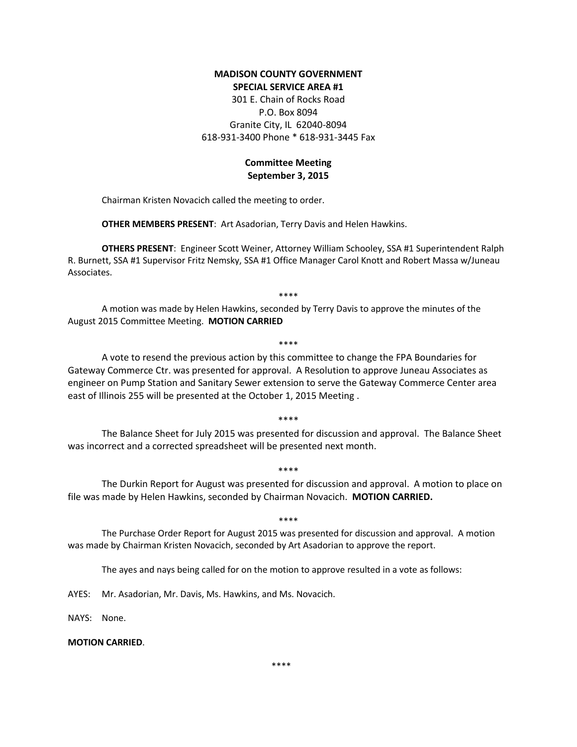## **MADISON COUNTY GOVERNMENT SPECIAL SERVICE AREA #1**

301 E. Chain of Rocks Road P.O. Box 8094 Granite City, IL 62040-8094 618-931-3400 Phone \* 618-931-3445 Fax

## **Committee Meeting September 3, 2015**

Chairman Kristen Novacich called the meeting to order.

**OTHER MEMBERS PRESENT**: Art Asadorian, Terry Davis and Helen Hawkins.

**OTHERS PRESENT**: Engineer Scott Weiner, Attorney William Schooley, SSA #1 Superintendent Ralph R. Burnett, SSA #1 Supervisor Fritz Nemsky, SSA #1 Office Manager Carol Knott and Robert Massa w/Juneau Associates.

\*\*\*\*

A motion was made by Helen Hawkins, seconded by Terry Davis to approve the minutes of the August 2015 Committee Meeting. **MOTION CARRIED**

\*\*\*\*

A vote to resend the previous action by this committee to change the FPA Boundaries for Gateway Commerce Ctr. was presented for approval. A Resolution to approve Juneau Associates as engineer on Pump Station and Sanitary Sewer extension to serve the Gateway Commerce Center area east of Illinois 255 will be presented at the October 1, 2015 Meeting .

\*\*\*\*

The Balance Sheet for July 2015 was presented for discussion and approval. The Balance Sheet was incorrect and a corrected spreadsheet will be presented next month.

\*\*\*\*

The Durkin Report for August was presented for discussion and approval. A motion to place on file was made by Helen Hawkins, seconded by Chairman Novacich. **MOTION CARRIED.**

\*\*\*\*

The Purchase Order Report for August 2015 was presented for discussion and approval. A motion was made by Chairman Kristen Novacich, seconded by Art Asadorian to approve the report.

The ayes and nays being called for on the motion to approve resulted in a vote as follows:

AYES: Mr. Asadorian, Mr. Davis, Ms. Hawkins, and Ms. Novacich.

NAYS: None.

## **MOTION CARRIED**.